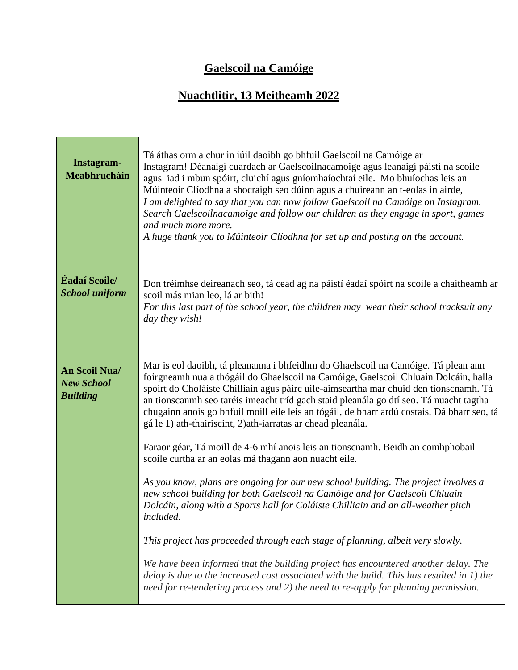## **Gaelscoil na Camóige**

## **Nuachtlitir, 13 Meitheamh 2022**

| <b>Instagram-</b><br><b>Meabhrucháin</b>              | Tá áthas orm a chur in iúil daoibh go bhfuil Gaelscoil na Camóige ar<br>Instagram! Déanaigí cuardach ar Gaelscoilnacamoige agus leanaigí páistí na scoile<br>agus iad i mbun spóirt, cluichí agus gníomhaíochtaí eile. Mo bhuíochas leis an<br>Múinteoir Clíodhna a shocraigh seo dúinn agus a chuireann an t-eolas in airde,<br>I am delighted to say that you can now follow Gaelscoil na Camóige on Instagram.<br>Search Gaelscoilnacamoige and follow our children as they engage in sport, games<br>and much more more.<br>A huge thank you to Múinteoir Clíodhna for set up and posting on the account. |
|-------------------------------------------------------|---------------------------------------------------------------------------------------------------------------------------------------------------------------------------------------------------------------------------------------------------------------------------------------------------------------------------------------------------------------------------------------------------------------------------------------------------------------------------------------------------------------------------------------------------------------------------------------------------------------|
| <b>Éadaí Scoile/</b><br><b>School uniform</b>         | Don tréimhse deireanach seo, tá cead ag na páistí éadaí spóirt na scoile a chaitheamh ar<br>scoil más mian leo, lá ar bith!<br>For this last part of the school year, the children may wear their school tracksuit any<br>day they wish!                                                                                                                                                                                                                                                                                                                                                                      |
| An Scoil Nua/<br><b>New School</b><br><b>Building</b> | Mar is eol daoibh, tá pleananna i bhfeidhm do Ghaelscoil na Camóige. Tá plean ann<br>foirgneamh nua a thógáil do Ghaelscoil na Camóige, Gaelscoil Chluain Dolcáin, halla<br>spóirt do Choláiste Chilliain agus páirc uile-aimseartha mar chuid den tionscnamh. Tá<br>an tionscanmh seo taréis imeacht tríd gach staid pleanála go dtí seo. Tá nuacht tagtha<br>chugainn anois go bhfuil moill eile leis an tógáil, de bharr ardú costais. Dá bharr seo, tá<br>gá le 1) ath-thairiscint, 2) ath-iarratas ar chead pleanála.                                                                                    |
|                                                       | Faraor géar, Tá moill de 4-6 mhí anois leis an tionscnamh. Beidh an comhphobail<br>scoile curtha ar an eolas má thagann aon nuacht eile.                                                                                                                                                                                                                                                                                                                                                                                                                                                                      |
|                                                       | As you know, plans are ongoing for our new school building. The project involves a<br>new school building for both Gaelscoil na Camóige and for Gaelscoil Chluain<br>Dolcáin, along with a Sports hall for Coláiste Chilliain and an all-weather pitch<br><i>included.</i>                                                                                                                                                                                                                                                                                                                                    |
|                                                       | This project has proceeded through each stage of planning, albeit very slowly.                                                                                                                                                                                                                                                                                                                                                                                                                                                                                                                                |
|                                                       | We have been informed that the building project has encountered another delay. The<br>delay is due to the increased cost associated with the build. This has resulted in $I$ ) the<br>need for re-tendering process and 2) the need to re-apply for planning permission.                                                                                                                                                                                                                                                                                                                                      |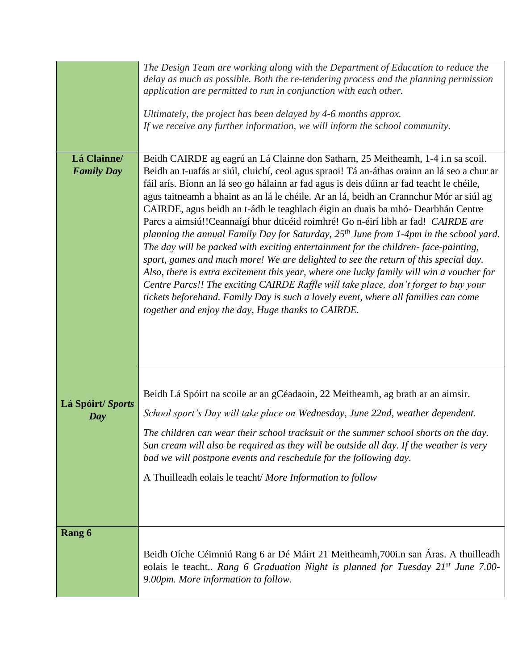|                                  | The Design Team are working along with the Department of Education to reduce the<br>delay as much as possible. Both the re-tendering process and the planning permission<br>application are permitted to run in conjunction with each other.<br>Ultimately, the project has been delayed by 4-6 months approx.<br>If we receive any further information, we will inform the school community.                                                                                                                                                                                                                                                                                                                                                                                                                                                                                                                                                                                                                                                                                                                                                                   |
|----------------------------------|-----------------------------------------------------------------------------------------------------------------------------------------------------------------------------------------------------------------------------------------------------------------------------------------------------------------------------------------------------------------------------------------------------------------------------------------------------------------------------------------------------------------------------------------------------------------------------------------------------------------------------------------------------------------------------------------------------------------------------------------------------------------------------------------------------------------------------------------------------------------------------------------------------------------------------------------------------------------------------------------------------------------------------------------------------------------------------------------------------------------------------------------------------------------|
| Lá Clainne/<br><b>Family Day</b> | Beidh CAIRDE ag eagrú an Lá Clainne don Satharn, 25 Meitheamh, 1-4 i.n sa scoil.<br>Beidh an t-uafás ar siúl, cluichí, ceol agus spraoi! Tá an-áthas orainn an lá seo a chur ar<br>fáil arís. Bíonn an lá seo go hálainn ar fad agus is deis dúinn ar fad teacht le chéile,<br>agus taitneamh a bhaint as an lá le chéile. Ar an lá, beidh an Crannchur Mór ar siúl ag<br>CAIRDE, agus beidh an t-ádh le teaghlach éigin an duais ba mhó- Dearbhán Centre<br>Parcs a aimsiú!!Ceannaígí bhur dticéid roimhré! Go n-éirí libh ar fad! CAIRDE are<br>planning the annual Family Day for Saturday, 25 <sup>th</sup> June from 1-4pm in the school yard.<br>The day will be packed with exciting entertainment for the children-face-painting,<br>sport, games and much more! We are delighted to see the return of this special day.<br>Also, there is extra excitement this year, where one lucky family will win a voucher for<br>Centre Parcs!! The exciting CAIRDE Raffle will take place, don't forget to buy your<br>tickets beforehand. Family Day is such a lovely event, where all families can come<br>together and enjoy the day, Huge thanks to CAIRDE. |
| Lá Spóirt/Sports<br>Day          | Beidh Lá Spóirt na scoile ar an gCéadaoin, 22 Meitheamh, ag brath ar an aimsir.<br>School sport's Day will take place on Wednesday, June 22nd, weather dependent.<br>The children can wear their school tracksuit or the summer school shorts on the day.<br>Sun cream will also be required as they will be outside all day. If the weather is very<br>bad we will postpone events and reschedule for the following day.<br>A Thuilleadh eolais le teacht/ More Information to follow                                                                                                                                                                                                                                                                                                                                                                                                                                                                                                                                                                                                                                                                          |
| Rang 6                           | Beidh Oíche Céimniú Rang 6 ar Dé Máirt 21 Meitheamh, 700i.n san Áras. A thuilleadh<br>eolais le teacht Rang 6 Graduation Night is planned for Tuesday $21^{st}$ June 7.00-<br>9.00pm. More information to follow.                                                                                                                                                                                                                                                                                                                                                                                                                                                                                                                                                                                                                                                                                                                                                                                                                                                                                                                                               |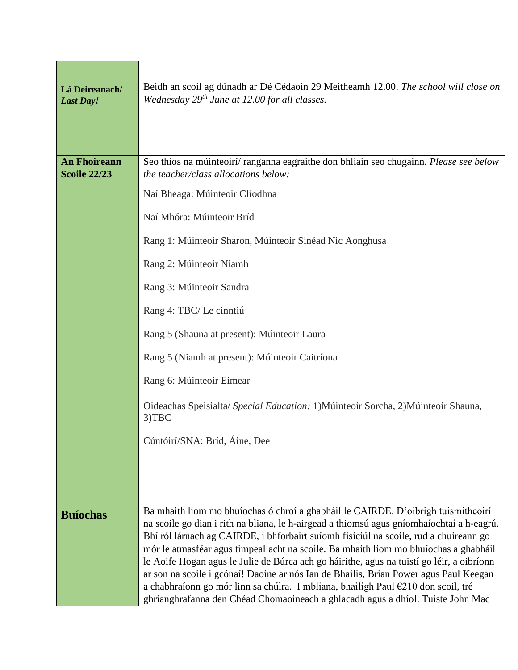| Lá Deireanach/<br><b>Last Day!</b>         | Beidh an scoil ag dúnadh ar Dé Cédaoin 29 Meitheamh 12.00. The school will close on<br>Wednesday $29^{th}$ June at 12.00 for all classes.                                                                                                                                                                                                                                                                                                                                                                                                                                                                                                                                                                                     |
|--------------------------------------------|-------------------------------------------------------------------------------------------------------------------------------------------------------------------------------------------------------------------------------------------------------------------------------------------------------------------------------------------------------------------------------------------------------------------------------------------------------------------------------------------------------------------------------------------------------------------------------------------------------------------------------------------------------------------------------------------------------------------------------|
|                                            |                                                                                                                                                                                                                                                                                                                                                                                                                                                                                                                                                                                                                                                                                                                               |
| <b>An Fhoireann</b><br><b>Scoile 22/23</b> | Seo thíos na múinteoirí/ ranganna eagraithe don bhliain seo chugainn. Please see below<br>the teacher/class allocations below:                                                                                                                                                                                                                                                                                                                                                                                                                                                                                                                                                                                                |
|                                            | Naí Bheaga: Múinteoir Clíodhna                                                                                                                                                                                                                                                                                                                                                                                                                                                                                                                                                                                                                                                                                                |
|                                            | Naí Mhóra: Múinteoir Bríd                                                                                                                                                                                                                                                                                                                                                                                                                                                                                                                                                                                                                                                                                                     |
|                                            | Rang 1: Múinteoir Sharon, Múinteoir Sinéad Nic Aonghusa                                                                                                                                                                                                                                                                                                                                                                                                                                                                                                                                                                                                                                                                       |
|                                            | Rang 2: Múinteoir Niamh                                                                                                                                                                                                                                                                                                                                                                                                                                                                                                                                                                                                                                                                                                       |
|                                            | Rang 3: Múinteoir Sandra                                                                                                                                                                                                                                                                                                                                                                                                                                                                                                                                                                                                                                                                                                      |
|                                            | Rang 4: TBC/Le cinntiú                                                                                                                                                                                                                                                                                                                                                                                                                                                                                                                                                                                                                                                                                                        |
|                                            | Rang 5 (Shauna at present): Múinteoir Laura                                                                                                                                                                                                                                                                                                                                                                                                                                                                                                                                                                                                                                                                                   |
|                                            | Rang 5 (Niamh at present): Múinteoir Caitríona                                                                                                                                                                                                                                                                                                                                                                                                                                                                                                                                                                                                                                                                                |
|                                            | Rang 6: Múinteoir Eimear                                                                                                                                                                                                                                                                                                                                                                                                                                                                                                                                                                                                                                                                                                      |
|                                            | Oideachas Speisialta/ Special Education: 1) Múinteoir Sorcha, 2) Múinteoir Shauna,<br>3)TBC                                                                                                                                                                                                                                                                                                                                                                                                                                                                                                                                                                                                                                   |
|                                            | Cúntóirí/SNA: Bríd, Áine, Dee                                                                                                                                                                                                                                                                                                                                                                                                                                                                                                                                                                                                                                                                                                 |
|                                            |                                                                                                                                                                                                                                                                                                                                                                                                                                                                                                                                                                                                                                                                                                                               |
| <b>Buíochas</b>                            | Ba mhaith liom mo bhuíochas ó chroí a ghabháil le CAIRDE. D'oibrigh tuismitheoirí<br>na scoile go dian i rith na bliana, le h-airgead a thiomsú agus gníomhaíochtaí a h-eagrú.<br>Bhí ról lárnach ag CAIRDE, i bhforbairt suíomh fisiciúl na scoile, rud a chuireann go<br>mór le atmasféar agus timpeallacht na scoile. Ba mhaith liom mo bhuíochas a ghabháil<br>le Aoife Hogan agus le Julie de Búrca ach go háirithe, agus na tuistí go léir, a oibríonn<br>ar son na scoile i gcónaí! Daoine ar nós Ian de Bhailis, Brian Power agus Paul Keegan<br>a chabhraíonn go mór linn sa chúlra. I mbliana, bhailigh Paul €210 don scoil, tré<br>ghrianghrafanna den Chéad Chomaoineach a ghlacadh agus a dhíol. Tuiste John Mac |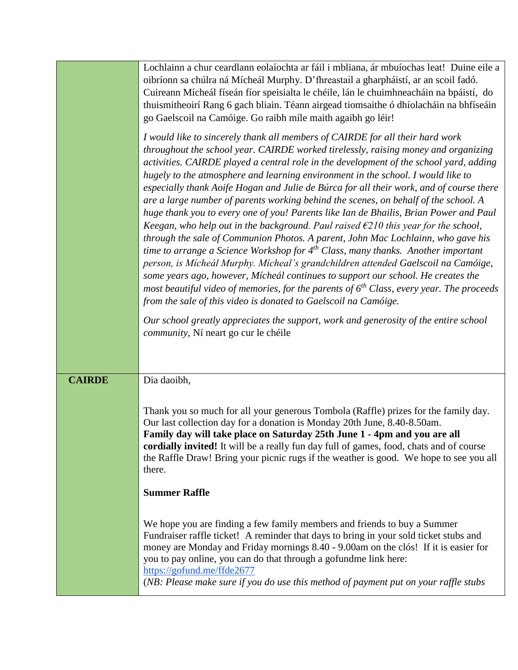|               | Lochlainn a chur ceardlann eolaíochta ar fáil i mbliana, ár mbuíochas leat! Duine eile a<br>oibríonn sa chúlra ná Mícheál Murphy. D'fhreastail a gharpháistí, ar an scoil fadó.<br>Cuireann Mícheál físeán fíor speisialta le chéile, lán le chuimhneacháin na bpáistí, do<br>thuismitheoirí Rang 6 gach bliain. Téann airgead tiomsaithe ó dhíolacháin na bhfíseáin<br>go Gaelscoil na Camóige. Go raibh míle maith agaibh go léir!<br>I would like to sincerely thank all members of CAIRDE for all their hard work                                                                                                                                                                                                                                                                                                                                                                                                                                                                                                                                                                                                                                              |
|---------------|--------------------------------------------------------------------------------------------------------------------------------------------------------------------------------------------------------------------------------------------------------------------------------------------------------------------------------------------------------------------------------------------------------------------------------------------------------------------------------------------------------------------------------------------------------------------------------------------------------------------------------------------------------------------------------------------------------------------------------------------------------------------------------------------------------------------------------------------------------------------------------------------------------------------------------------------------------------------------------------------------------------------------------------------------------------------------------------------------------------------------------------------------------------------|
|               | throughout the school year. CAIRDE worked tirelessly, raising money and organizing<br>activities. CAIRDE played a central role in the development of the school yard, adding<br>hugely to the atmosphere and learning environment in the school. I would like to<br>especially thank Aoife Hogan and Julie de Búrca for all their work, and of course there<br>are a large number of parents working behind the scenes, on behalf of the school. A<br>huge thank you to every one of you! Parents like Ian de Bhailis, Brian Power and Paul<br>Keegan, who help out in the background. Paul raised $\epsilon$ 210 this year for the school,<br>through the sale of Communion Photos. A parent, John Mac Lochlainn, who gave his<br>time to arrange a Science Workshop for $4^{th}$ Class, many thanks. Another important<br>person, is Mícheál Murphy. Mícheal's grandchildren attended Gaelscoil na Camóige,<br>some years ago, however, Mícheál continues to support our school. He creates the<br>most beautiful video of memories, for the parents of $6th$ Class, every year. The proceeds<br>from the sale of this video is donated to Gaelscoil na Camóige. |
|               | Our school greatly appreciates the support, work and generosity of the entire school<br>community, Ní neart go cur le chéile                                                                                                                                                                                                                                                                                                                                                                                                                                                                                                                                                                                                                                                                                                                                                                                                                                                                                                                                                                                                                                       |
| <b>CAIRDE</b> | Dia daoibh,                                                                                                                                                                                                                                                                                                                                                                                                                                                                                                                                                                                                                                                                                                                                                                                                                                                                                                                                                                                                                                                                                                                                                        |
|               | Thank you so much for all your generous Tombola (Raffle) prizes for the family day.<br>Our last collection day for a donation is Monday 20th June, 8.40-8.50am.<br>Family day will take place on Saturday 25th June 1 - 4pm and you are all<br>cordially invited! It will be a really fun day full of games, food, chats and of course<br>the Raffle Draw! Bring your picnic rugs if the weather is good. We hope to see you all<br>there.                                                                                                                                                                                                                                                                                                                                                                                                                                                                                                                                                                                                                                                                                                                         |
|               | <b>Summer Raffle</b>                                                                                                                                                                                                                                                                                                                                                                                                                                                                                                                                                                                                                                                                                                                                                                                                                                                                                                                                                                                                                                                                                                                                               |
|               | We hope you are finding a few family members and friends to buy a Summer<br>Fundraiser raffle ticket! A reminder that days to bring in your sold ticket stubs and<br>money are Monday and Friday mornings 8.40 - 9.00am on the clós! If it is easier for<br>you to pay online, you can do that through a gofundme link here:<br>https://gofund.me/ffde2677<br>(NB: Please make sure if you do use this method of payment put on your raffle stubs                                                                                                                                                                                                                                                                                                                                                                                                                                                                                                                                                                                                                                                                                                                  |